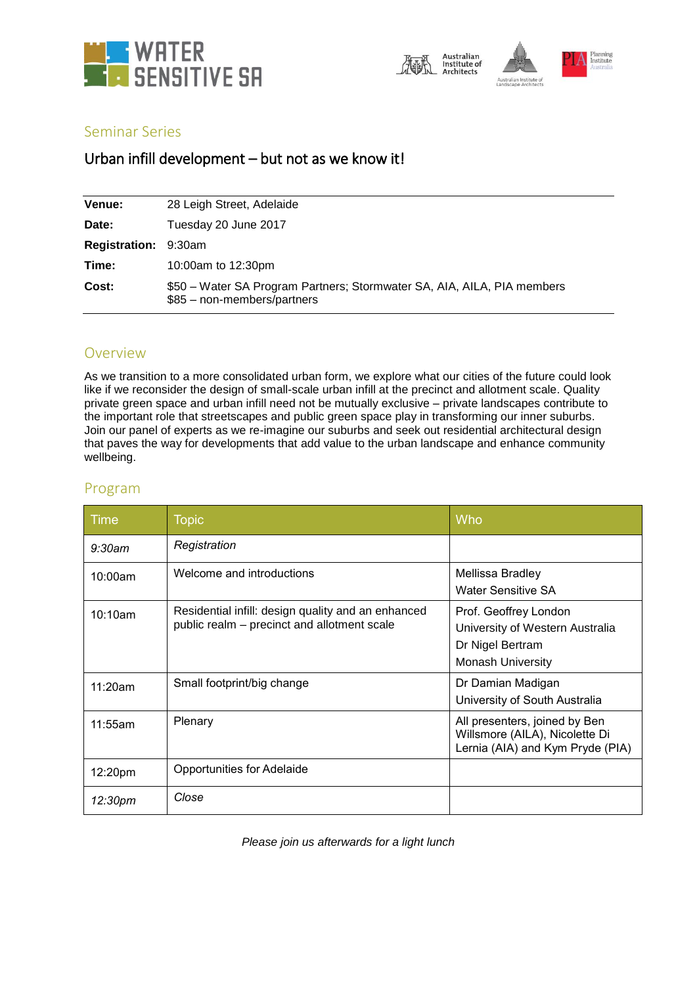



## Seminar Series

# Urban infill development – but not as we know it!

| Venue:                      | 28 Leigh Street, Adelaide                                                                              |
|-----------------------------|--------------------------------------------------------------------------------------------------------|
| Date:                       | Tuesday 20 June 2017                                                                                   |
| <b>Registration: 9:30am</b> |                                                                                                        |
| Time:                       | 10:00am to 12:30pm                                                                                     |
| Cost:                       | \$50 - Water SA Program Partners; Stormwater SA, AIA, AILA, PIA members<br>\$85 - non-members/partners |

## Overview

As we transition to a more consolidated urban form, we explore what our cities of the future could look like if we reconsider the design of small-scale urban infill at the precinct and allotment scale. Quality private green space and urban infill need not be mutually exclusive – private landscapes contribute to the important role that streetscapes and public green space play in transforming our inner suburbs. Join our panel of experts as we re-imagine our suburbs and seek out residential architectural design that paves the way for developments that add value to the urban landscape and enhance community wellbeing.

## Program

| Time       | <b>Topic</b>                                                                                      | Who                                                                                                      |
|------------|---------------------------------------------------------------------------------------------------|----------------------------------------------------------------------------------------------------------|
| $9:30$ am  | Registration                                                                                      |                                                                                                          |
| 10:00am    | Welcome and introductions                                                                         | Mellissa Bradley<br><b>Water Sensitive SA</b>                                                            |
| $10:10$ am | Residential infill: design quality and an enhanced<br>public realm – precinct and allotment scale | Prof. Geoffrey London<br>University of Western Australia<br>Dr Nigel Bertram<br><b>Monash University</b> |
| 11:20am    | Small footprint/big change                                                                        | Dr Damian Madigan<br>University of South Australia                                                       |
| 11:55am    | Plenary                                                                                           | All presenters, joined by Ben<br>Willsmore (AILA), Nicolette Di<br>Lernia (AIA) and Kym Pryde (PIA)      |
| 12:20pm    | Opportunities for Adelaide                                                                        |                                                                                                          |
| 12:30pm    | Close                                                                                             |                                                                                                          |

*Please join us afterwards for a light lunch*